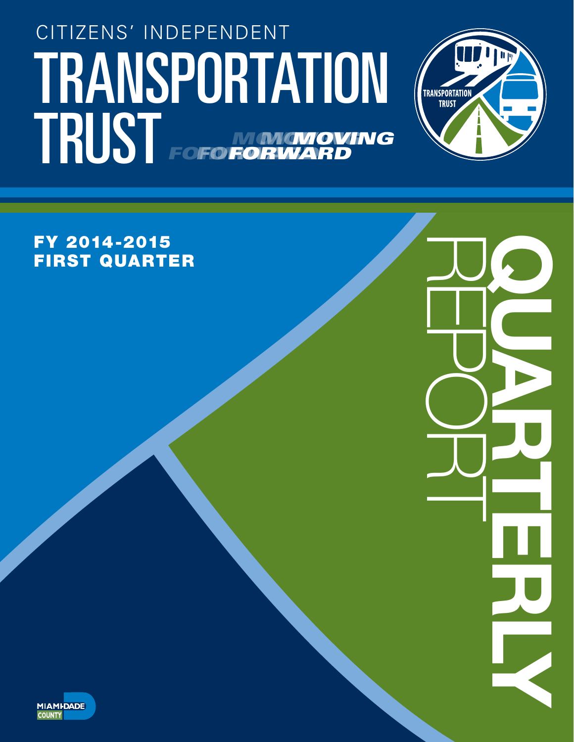# TRANSPORTATION (TRANSPORTATION CITIZENS' INDEPENDENT TRUST FOFO NONGNOVING *FORWARD MOVING* **FORWA** *MOVING* **FOFO FORV**



REPORT QUARTERLY

FY 2014-2015 FIRST QUARTER

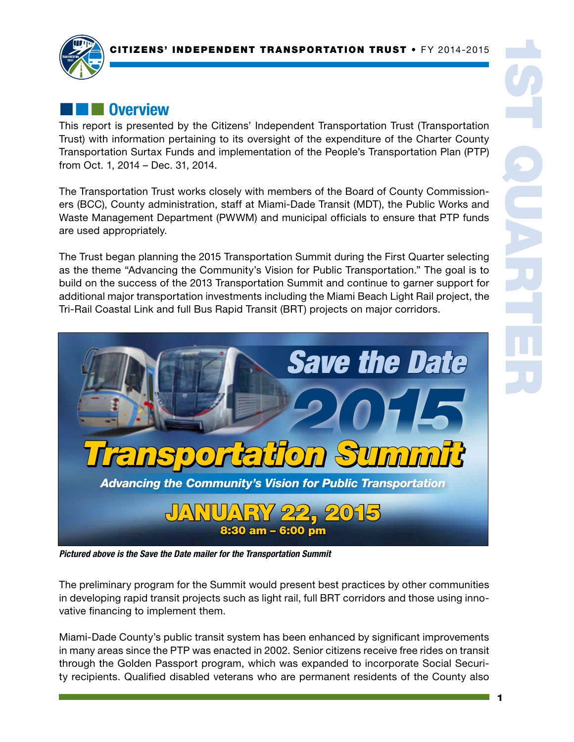

## $\blacksquare$  Overview

This report is presented by the Citizens' Independent Transportation Trust (Transportation Trust) with information pertaining to its oversight of the expenditure of the Charter County Transportation Surtax Funds and implementation of the People's Transportation Plan (PTP) from Oct. 1, 2014 – Dec. 31, 2014.

The Transportation Trust works closely with members of the Board of County Commissioners (BCC), County administration, staff at Miami-Dade Transit (MDT), the Public Works and Waste Management Department (PWWM) and municipal officials to ensure that PTP funds are used appropriately.

The Trust began planning the 2015 Transportation Summit during the First Quarter selecting as the theme "Advancing the Community's Vision for Public Transportation." The goal is to build on the success of the 2013 Transportation Summit and continue to garner support for additional major transportation investments including the Miami Beach Light Rail project, the Tri-Rail Coastal Link and full Bus Rapid Transit (BRT) projects on major corridors.



Pictured above is the Save the Date mailer for the Transportation Summit

The preliminary program for the Summit would present best practices by other communities in developing rapid transit projects such as light rail, full BRT corridors and those using innovative financing to implement them. and the Greater Miami, Commerce of Commerce.

Miami-Dade County's public transit system has been enhanced by significant improvements in many areas since the PTP was enacted in 2002. Senior citizens receive free rides on transit through the Golden Passport program, which was expanded to incorporate Social Security recipients. Qualified disabled veterans who are permanent residents of the County also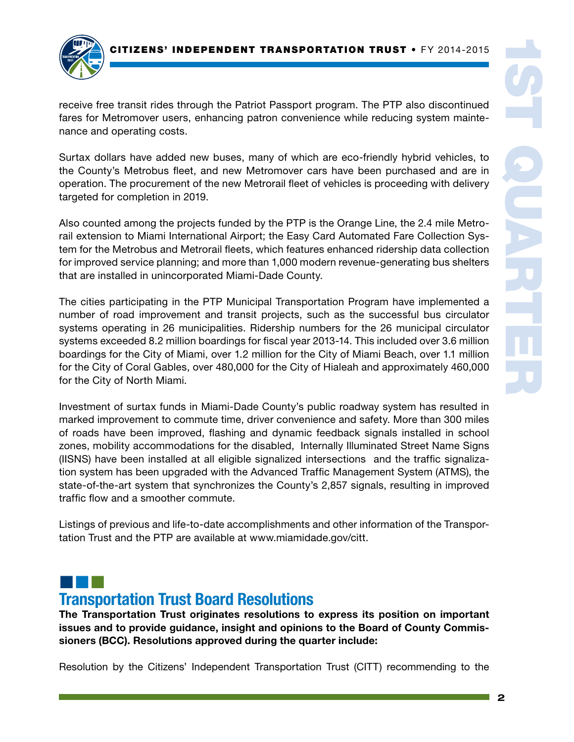

receive free transit rides through the Patriot Passport program. The PTP also discontinued fares for Metromover users, enhancing patron convenience while reducing system maintenance and operating costs.

Surtax dollars have added new buses, many of which are eco-friendly hybrid vehicles, to the County's Metrobus fleet, and new Metromover cars have been purchased and are in operation. The procurement of the new Metrorail fleet of vehicles is proceeding with delivery targeted for completion in 2019.

Also counted among the projects funded by the PTP is the Orange Line, the 2.4 mile Metrorail extension to Miami International Airport; the Easy Card Automated Fare Collection System for the Metrobus and Metrorail fleets, which features enhanced ridership data collection for improved service planning; and more than 1,000 modern revenue-generating bus shelters that are installed in unincorporated Miami-Dade County.

The cities participating in the PTP Municipal Transportation Program have implemented a number of road improvement and transit projects, such as the successful bus circulator systems operating in 26 municipalities. Ridership numbers for the 26 municipal circulator systems exceeded 8.2 million boardings for fiscal year 2013-14. This included over 3.6 million boardings for the City of Miami, over 1.2 million for the City of Miami Beach, over 1.1 million for the City of Coral Gables, over 480,000 for the City of Hialeah and approximately 460,000 for the City of North Miami.

Investment of surtax funds in Miami-Dade County's public roadway system has resulted in marked improvement to commute time, driver convenience and safety. More than 300 miles of roads have been improved, flashing and dynamic feedback signals installed in school zones, mobility accommodations for the disabled, Internally Illuminated Street Name Signs (IISNS) have been installed at all eligible signalized intersections and the traffic signalization system has been upgraded with the Advanced Traffic Management System (ATMS), the state-of-the-art system that synchronizes the County's 2,857 signals, resulting in improved traffic flow and a smoother commute.

Listings of previous and life-to-date accomplishments and other information of the Transportation Trust and the PTP are available at www.miamidade.gov/citt.

### ¢¢¢ Transportation Trust Board Resolutions

The Transportation Trust originates resolutions to express its position on important issues and to provide guidance, insight and opinions to the Board of County Commissioners (BCC). Resolutions approved during the quarter include:

Resolution by the Citizens' Independent Transportation Trust (CITT) recommending to the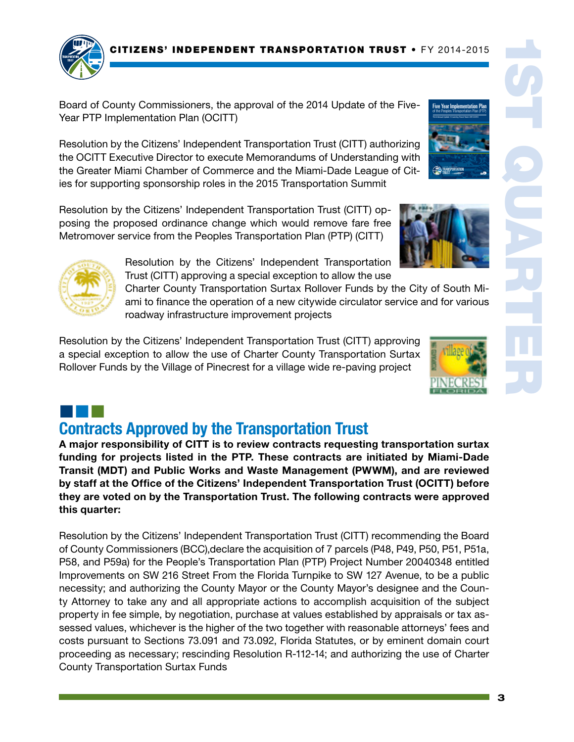### **IZENS' INDEPENDENT TRANSPORTATION TRUST •** FY 2014-2015

Board of County Commissioners, the approval of the 2014 Update of the Five-Year PTP Implementation Plan (OCITT)

Resolution by the Citizens' Independent Transportation Trust (CITT) authorizing the OCITT Executive Director to execute Memorandums of Understanding with the Greater Miami Chamber of Commerce and the Miami-Dade League of Cities for supporting sponsorship roles in the 2015 Transportation Summit

Resolution by the Citizens' Independent Transportation Trust (CITT) opposing the proposed ordinance change which would remove fare free Metromover service from the Peoples Transportation Plan (PTP) (CITT)

> Resolution by the Citizens' Independent Transportation Trust (CITT) approving a special exception to allow the use

Charter County Transportation Surtax Rollover Funds by the City of South Miami to finance the operation of a new citywide circulator service and for various roadway infrastructure improvement projects

Resolution by the Citizens' Independent Transportation Trust (CITT) approving a special exception to allow the use of Charter County Transportation Surtax Rollover Funds by the Village of Pinecrest for a village wide re-paving project

### ¢¢¢ Contracts Approved by the Transportation Trust

A major responsibility of CITT is to review contracts requesting transportation surtax funding for projects listed in the PTP. These contracts are initiated by Miami-Dade Transit (MDT) and Public Works and Waste Management (PWWM), and are reviewed by staff at the Office of the Citizens' Independent Transportation Trust (OCITT) before they are voted on by the Transportation Trust. The following contracts were approved this quarter:

Resolution by the Citizens' Independent Transportation Trust (CITT) recommending the Board of County Commissioners (BCC),declare the acquisition of 7 parcels (P48, P49, P50, P51, P51a, P58, and P59a) for the People's Transportation Plan (PTP) Project Number 20040348 entitled Improvements on SW 216 Street From the Florida Turnpike to SW 127 Avenue, to be a public necessity; and authorizing the County Mayor or the County Mayor's designee and the County Attorney to take any and all appropriate actions to accomplish acquisition of the subject property in fee simple, by negotiation, purchase at values established by appraisals or tax assessed values, whichever is the higher of the two together with reasonable attorneys' fees and costs pursuant to Sections 73.091 and 73.092, Florida Statutes, or by eminent domain court proceeding as necessary; rescinding Resolution R-112-14; and authorizing the use of Charter County Transportation Surtax Funds





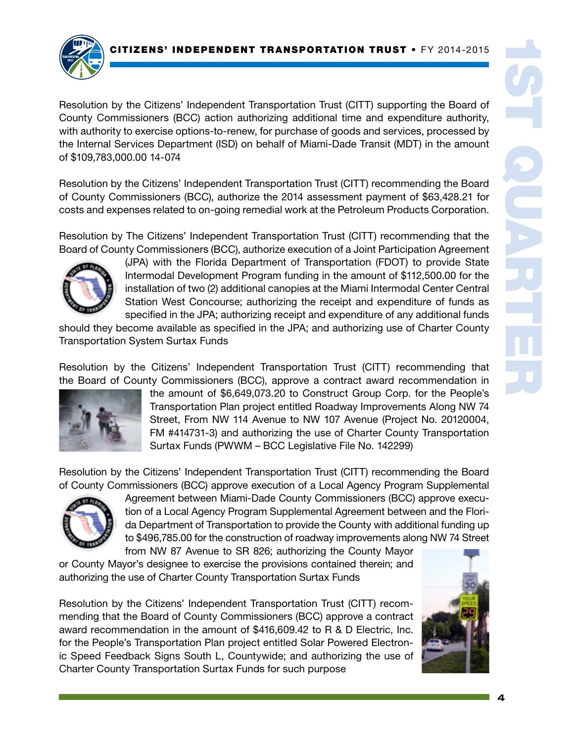

Resolution by the Citizens' Independent Transportation Trust (CITT) supporting the Board of County Commissioners (BCC) action authorizing additional time and expenditure authority, with authority to exercise options-to-renew, for purchase of goods and services, processed by the Internal Services Department (ISD) on behalf of Miami-Dade Transit (MDT) in the amount of \$109,783,000.00 14-074

Resolution by the Citizens' Independent Transportation Trust (CITT) recommending the Board of County Commissioners (BCC), authorize the 2014 assessment payment of \$63,428.21 for costs and expenses related to on-going remedial work at the Petroleum Products Corporation.

Resolution by The Citizens' Independent Transportation Trust (CITT) recommending that the Board of County Commissioners (BCC), authorize execution of a Joint Participation Agreement



(JPA) with the Florida Department of Transportation (FDOT) to provide State Intermodal Development Program funding in the amount of \$112,500.00 for the installation of two (2) additional canopies at the Miami Intermodal Center Central Station West Concourse; authorizing the receipt and expenditure of funds as specified in the JPA; authorizing receipt and expenditure of any additional funds

should they become available as specified in the JPA; and authorizing use of Charter County Transportation System Surtax Funds

Resolution by the Citizens' Independent Transportation Trust (CITT) recommending that the Board of County Commissioners (BCC), approve a contract award recommendation in



the amount of \$6,649,073.20 to Construct Group Corp. for the People's Transportation Plan project entitled Roadway Improvements Along NW 74 Street, From NW 114 Avenue to NW 107 Avenue (Project No. 20120004, FM #414731-3) and authorizing the use of Charter County Transportation Surtax Funds (PWWM – BCC Legislative File No. 142299)

Resolution by the Citizens' Independent Transportation Trust (CITT) recommending the Board of County Commissioners (BCC) approve execution of a Local Agency Program Supplemental



Agreement between Miami-Dade County Commissioners (BCC) approve execution of a Local Agency Program Supplemental Agreement between and the Florida Department of Transportation to provide the County with additional funding up to \$496,785.00 for the construction of roadway improvements along NW 74 Street from NW 87 Avenue to SR 826; authorizing the County Mayor

or County Mayor's designee to exercise the provisions contained therein; and authorizing the use of Charter County Transportation Surtax Funds

Resolution by the Citizens' Independent Transportation Trust (CITT) recommending that the Board of County Commissioners (BCC) approve a contract award recommendation in the amount of \$416,609.42 to R & D Electric, Inc. for the People's Transportation Plan project entitled Solar Powered Electronic Speed Feedback Signs South L, Countywide; and authorizing the use of Charter County Transportation Surtax Funds for such purpose



1ST GYPTER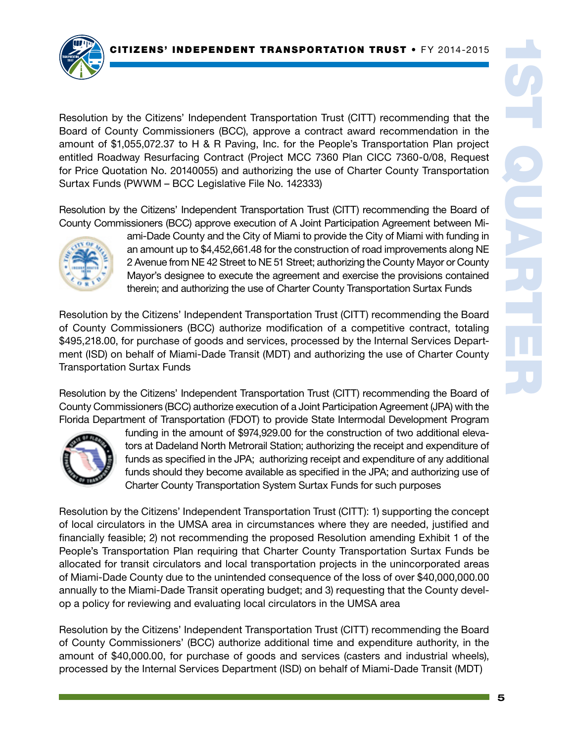

Resolution by the Citizens' Independent Transportation Trust (CITT) recommending that the Board of County Commissioners (BCC), approve a contract award recommendation in the amount of \$1,055,072.37 to H & R Paving, Inc. for the People's Transportation Plan project entitled Roadway Resurfacing Contract (Project MCC 7360 Plan CICC 7360-0/08, Request for Price Quotation No. 20140055) and authorizing the use of Charter County Transportation Surtax Funds (PWWM – BCC Legislative File No. 142333)

Resolution by the Citizens' Independent Transportation Trust (CITT) recommending the Board of County Commissioners (BCC) approve execution of A Joint Participation Agreement between Mi-



ami-Dade County and the City of Miami to provide the City of Miami with funding in an amount up to \$4,452,661.48 for the construction of road improvements along NE 2 Avenue from NE 42 Street to NE 51 Street; authorizing the County Mayor or County Mayor's designee to execute the agreement and exercise the provisions contained therein; and authorizing the use of Charter County Transportation Surtax Funds

Resolution by the Citizens' Independent Transportation Trust (CITT) recommending the Board of County Commissioners (BCC) authorize modification of a competitive contract, totaling \$495,218.00, for purchase of goods and services, processed by the Internal Services Department (ISD) on behalf of Miami-Dade Transit (MDT) and authorizing the use of Charter County Transportation Surtax Funds

Resolution by the Citizens' Independent Transportation Trust (CITT) recommending the Board of County Commissioners (BCC) authorize execution of a Joint Participation Agreement (JPA) with the Florida Department of Transportation (FDOT) to provide State Intermodal Development Program



funding in the amount of \$974,929.00 for the construction of two additional elevators at Dadeland North Metrorail Station; authorizing the receipt and expenditure of funds as specified in the JPA; authorizing receipt and expenditure of any additional funds should they become available as specified in the JPA; and authorizing use of Charter County Transportation System Surtax Funds for such purposes

Resolution by the Citizens' Independent Transportation Trust (CITT): 1) supporting the concept of local circulators in the UMSA area in circumstances where they are needed, justified and financially feasible; 2) not recommending the proposed Resolution amending Exhibit 1 of the People's Transportation Plan requiring that Charter County Transportation Surtax Funds be allocated for transit circulators and local transportation projects in the unincorporated areas of Miami-Dade County due to the unintended consequence of the loss of over \$40,000,000.00 annually to the Miami-Dade Transit operating budget; and 3) requesting that the County develop a policy for reviewing and evaluating local circulators in the UMSA area

Resolution by the Citizens' Independent Transportation Trust (CITT) recommending the Board of County Commissioners' (BCC) authorize additional time and expenditure authority, in the amount of \$40,000.00, for purchase of goods and services (casters and industrial wheels), processed by the Internal Services Department (ISD) on behalf of Miami-Dade Transit (MDT)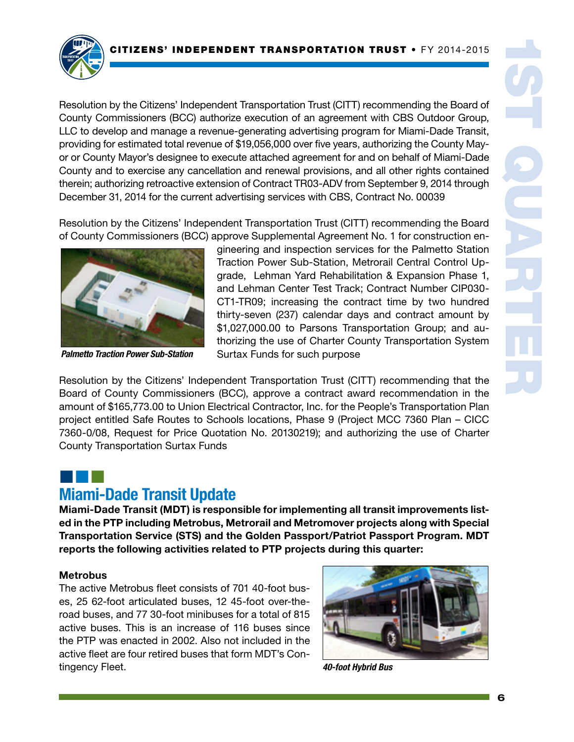

Resolution by the Citizens' Independent Transportation Trust (CITT) recommending the Board of County Commissioners (BCC) authorize execution of an agreement with CBS Outdoor Group, LLC to develop and manage a revenue-generating advertising program for Miami-Dade Transit, providing for estimated total revenue of \$19,056,000 over five years, authorizing the County Mayor or County Mayor's designee to execute attached agreement for and on behalf of Miami-Dade County and to exercise any cancellation and renewal provisions, and all other rights contained therein; authorizing retroactive extension of Contract TR03-ADV from September 9, 2014 through December 31, 2014 for the current advertising services with CBS, Contract No. 00039

Resolution by the Citizens' Independent Transportation Trust (CITT) recommending the Board of County Commissioners (BCC) approve Supplemental Agreement No. 1 for construction en-



*Palmetto Traction Power Sub-Station*

gineering and inspection services for the Palmetto Station Traction Power Sub-Station, Metrorail Central Control Upgrade, Lehman Yard Rehabilitation & Expansion Phase 1, and Lehman Center Test Track; Contract Number CIP030- CT1-TR09; increasing the contract time by two hundred thirty-seven (237) calendar days and contract amount by \$1,027,000.00 to Parsons Transportation Group; and authorizing the use of Charter County Transportation System Surtax Funds for such purpose

Resolution by the Citizens' Independent Transportation Trust (CITT) recommending that the Board of County Commissioners (BCC), approve a contract award recommendation in the amount of \$165,773.00 to Union Electrical Contractor, Inc. for the People's Transportation Plan project entitled Safe Routes to Schools locations, Phase 9 (Project MCC 7360 Plan – CICC 7360-0/08, Request for Price Quotation No. 20130219); and authorizing the use of Charter County Transportation Surtax Funds

### ¢¢¢ Miami-Dade Transit Update

Miami-Dade Transit (MDT) is responsible for implementing all transit improvements listed in the PTP including Metrobus, Metrorail and Metromover projects along with Special Transportation Service (STS) and the Golden Passport/Patriot Passport Program. MDT reports the following activities related to PTP projects during this quarter:

#### **Metrobus**

The active Metrobus fleet consists of 701 40-foot buses, 25 62-foot articulated buses, 12 45-foot over-theroad buses, and 77 30-foot minibuses for a total of 815 active buses. This is an increase of 116 buses since the PTP was enacted in 2002. Also not included in the active fleet are four retired buses that form MDT's Contingency Fleet.



*40-foot Hybrid Bus*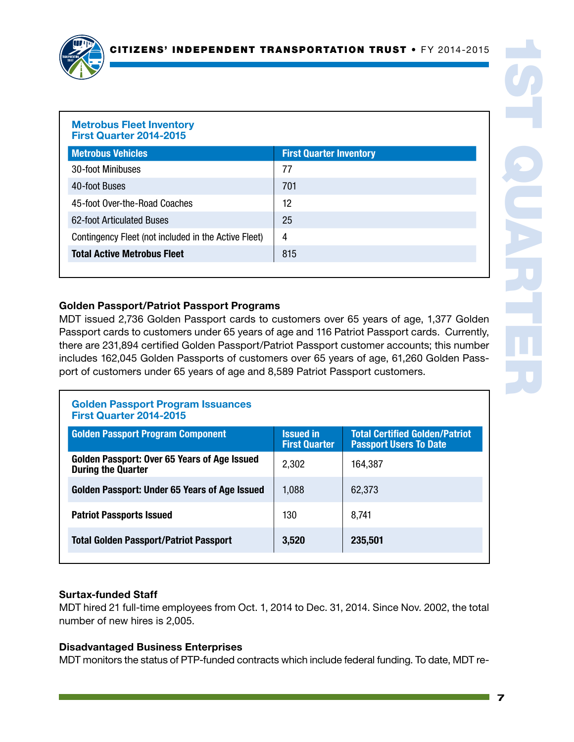

#### Metrobus Fleet Inventory First Quarter 2014-2015

| <b>Metrobus Vehicles</b>                             | <b>First Quarter Inventory</b> |
|------------------------------------------------------|--------------------------------|
| 30-foot Minibuses                                    | 77                             |
| 40-foot Buses                                        | 701                            |
| 45-foot Over-the-Road Coaches                        | 12                             |
| 62-foot Articulated Buses                            | 25                             |
| Contingency Fleet (not included in the Active Fleet) | 4                              |
| <b>Total Active Metrobus Fleet</b>                   | 815                            |

#### Golden Passport/Patriot Passport Programs

MDT issued 2,736 Golden Passport cards to customers over 65 years of age, 1,377 Golden Passport cards to customers under 65 years of age and 116 Patriot Passport cards. Currently, there are 231,894 certified Golden Passport/Patriot Passport customer accounts; this number includes 162,045 Golden Passports of customers over 65 years of age, 61,260 Golden Passport of customers under 65 years of age and 8,589 Patriot Passport customers.

### Golden Passport Program Issuances First Quarter 2014-2015

| <b>Issued in</b><br><b>First Quarter</b> | <b>Total Certified Golden/Patriot</b><br><b>Passport Users To Date</b> |
|------------------------------------------|------------------------------------------------------------------------|
| 2,302                                    | 164,387                                                                |
| 1,088                                    | 62,373                                                                 |
| 130                                      | 8,741                                                                  |
| 3,520                                    | 235,501                                                                |
|                                          |                                                                        |

#### Surtax-funded Staff

MDT hired 21 full-time employees from Oct. 1, 2014 to Dec. 31, 2014. Since Nov. 2002, the total number of new hires is 2,005.

#### Disadvantaged Business Enterprises

MDT monitors the status of PTP-funded contracts which include federal funding. To date, MDT re-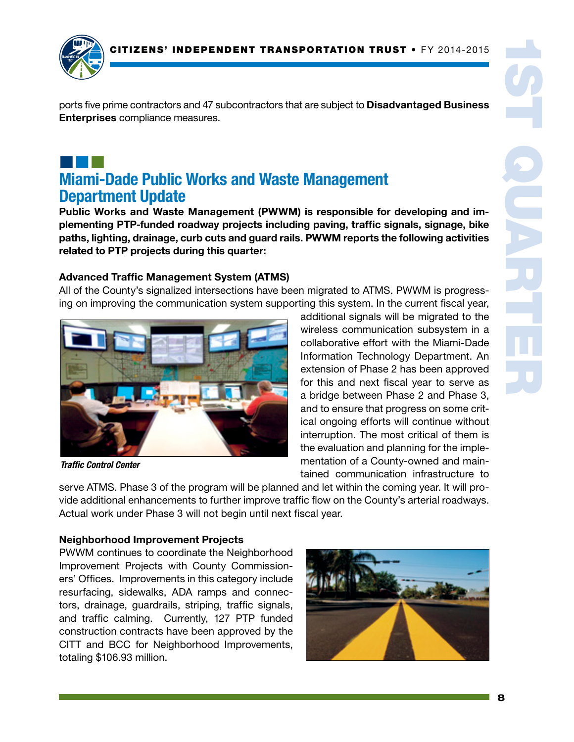

ports five prime contractors and 47 subcontractors that are subject to Disadvantaged Business Enterprises compliance measures.

### ¢¢¢ Miami-Dade Public Works and Waste Management Department Update

Public Works and Waste Management (PWWM) is responsible for developing and implementing PTP-funded roadway projects including paving, traffic signals, signage, bike paths, lighting, drainage, curb cuts and guard rails. PWWM reports the following activities related to PTP projects during this quarter:

#### Advanced Traffic Management System (ATMS)

All of the County's signalized intersections have been migrated to ATMS. PWWM is progressing on improving the communication system supporting this system. In the current fiscal year,



*Traffic Control Center*

additional signals will be migrated to the wireless communication subsystem in a collaborative effort with the Miami-Dade Information Technology Department. An extension of Phase 2 has been approved for this and next fiscal year to serve as a bridge between Phase 2 and Phase 3, and to ensure that progress on some critical ongoing efforts will continue without interruption. The most critical of them is the evaluation and planning for the implementation of a County-owned and maintained communication infrastructure to

serve ATMS. Phase 3 of the program will be planned and let within the coming year. It will provide additional enhancements to further improve traffic flow on the County's arterial roadways. Actual work under Phase 3 will not begin until next fiscal year.

#### Neighborhood Improvement Projects

PWWM continues to coordinate the Neighborhood Improvement Projects with County Commissioners' Offices. Improvements in this category include resurfacing, sidewalks, ADA ramps and connectors, drainage, guardrails, striping, traffic signals, and traffic calming. Currently, 127 PTP funded construction contracts have been approved by the CITT and BCC for Neighborhood Improvements, totaling \$106.93 million.

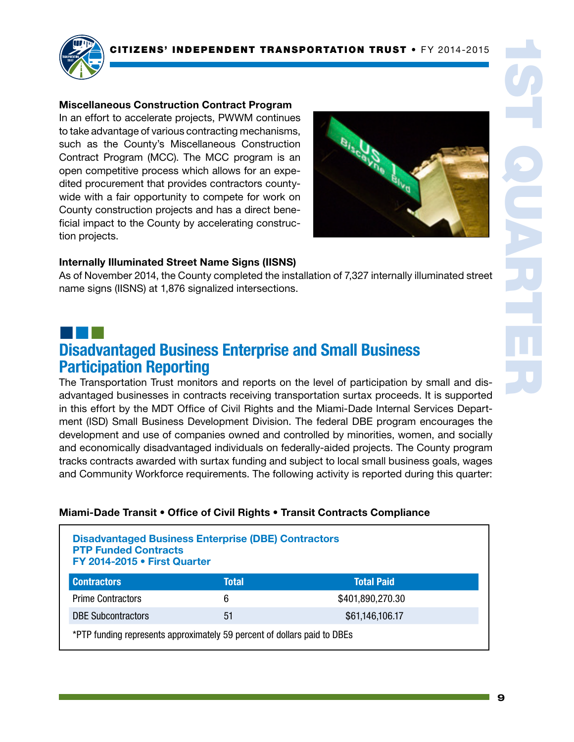

#### Miscellaneous Construction Contract Program

In an effort to accelerate projects, PWWM continues to take advantage of various contracting mechanisms, such as the County's Miscellaneous Construction Contract Program (MCC). The MCC program is an open competitive process which allows for an expedited procurement that provides contractors countywide with a fair opportunity to compete for work on County construction projects and has a direct beneficial impact to the County by accelerating construction projects.



#### Internally Illuminated Street Name Signs (IISNS)

As of November 2014, the County completed the installation of 7,327 internally illuminated street name signs (IISNS) at 1,876 signalized intersections.

### ¢¢¢

### Disadvantaged Business Enterprise and Small Business Participation Reporting

The Transportation Trust monitors and reports on the level of participation by small and disadvantaged businesses in contracts receiving transportation surtax proceeds. It is supported in this effort by the MDT Office of Civil Rights and the Miami-Dade Internal Services Department (ISD) Small Business Development Division. The federal DBE program encourages the development and use of companies owned and controlled by minorities, women, and socially and economically disadvantaged individuals on federally-aided projects. The County program tracks contracts awarded with surtax funding and subject to local small business goals, wages and Community Workforce requirements. The following activity is reported during this quarter:

#### Miami-Dade Transit • Office of Civil Rights • Transit Contracts Compliance

| <b>Disadvantaged Business Enterprise (DBE) Contractors</b><br><b>PTP Funded Contracts</b><br>FY 2014-2015 . First Quarter |              |                   |  |  |
|---------------------------------------------------------------------------------------------------------------------------|--------------|-------------------|--|--|
| <b>Contractors</b>                                                                                                        | <b>Total</b> | <b>Total Paid</b> |  |  |
| <b>Prime Contractors</b>                                                                                                  | 6            | \$401,890,270.30  |  |  |
| <b>DBE Subcontractors</b>                                                                                                 | 51           | \$61,146,106.17   |  |  |
| *PTP funding represents approximately 59 percent of dollars paid to DBEs                                                  |              |                   |  |  |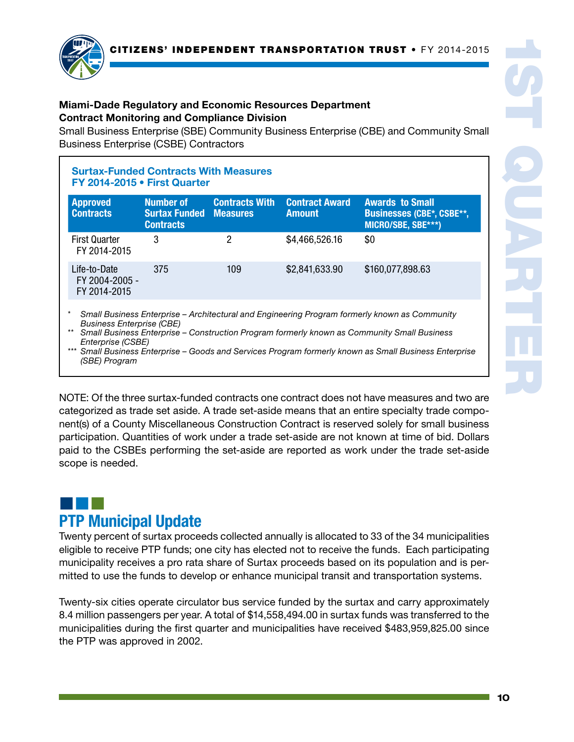

#### Miami-Dade Regulatory and Economic Resources Department Contract Monitoring and Compliance Division

Small Business Enterprise (SBE) Community Business Enterprise (CBE) and Community Small Business Enterprise (CSBE) Contractors

| <b>Approved</b><br><b>Contracts</b>                                                                                                                                                                                                                                                                                                                                                            | Number of<br><b>Surtax Funded</b><br><b>Contracts</b> | <b>Contracts With</b><br><b>Measures</b> | <b>Contract Award</b><br><b>Amount</b> | <b>Awards to Small</b><br><b>Businesses (CBE*, CSBE**,</b><br>MICRO/SBE, SBE***) |  |
|------------------------------------------------------------------------------------------------------------------------------------------------------------------------------------------------------------------------------------------------------------------------------------------------------------------------------------------------------------------------------------------------|-------------------------------------------------------|------------------------------------------|----------------------------------------|----------------------------------------------------------------------------------|--|
| <b>First Quarter</b><br>FY 2014-2015                                                                                                                                                                                                                                                                                                                                                           | 3                                                     | 2                                        | \$4,466,526.16                         | \$0                                                                              |  |
| Life-to-Date<br>FY 2004-2005 -<br>FY 2014-2015                                                                                                                                                                                                                                                                                                                                                 | 375                                                   | 109                                      | \$2,841,633.90                         | \$160,077,898.63                                                                 |  |
| *<br>Small Business Enterprise – Architectural and Engineering Program formerly known as Community<br><b>Business Enterprise (CBE)</b><br>$***$<br>Small Business Enterprise – Construction Program formerly known as Community Small Business<br>Enterprise (CSBE)<br>*** Small Business Enterprise – Goods and Services Program formerly known as Small Business Enterprise<br>(SBE) Program |                                                       |                                          |                                        |                                                                                  |  |

NOTE: Of the three surtax-funded contracts one contract does not have measures and two are categorized as trade set aside. A trade set-aside means that an entire specialty trade component(s) of a County Miscellaneous Construction Contract is reserved solely for small business participation. Quantities of work under a trade set-aside are not known at time of bid. Dollars paid to the CSBEs performing the set-aside are reported as work under the trade set-aside scope is needed.

### ¢¢¢ PTP Municipal Update

Twenty percent of surtax proceeds collected annually is allocated to 33 of the 34 municipalities eligible to receive PTP funds; one city has elected not to receive the funds. Each participating municipality receives a pro rata share of Surtax proceeds based on its population and is permitted to use the funds to develop or enhance municipal transit and transportation systems.

Twenty-six cities operate circulator bus service funded by the surtax and carry approximately 8.4 million passengers per year. A total of \$14,558,494.00 in surtax funds was transferred to the municipalities during the first quarter and municipalities have received \$483,959,825.00 since the PTP was approved in 2002.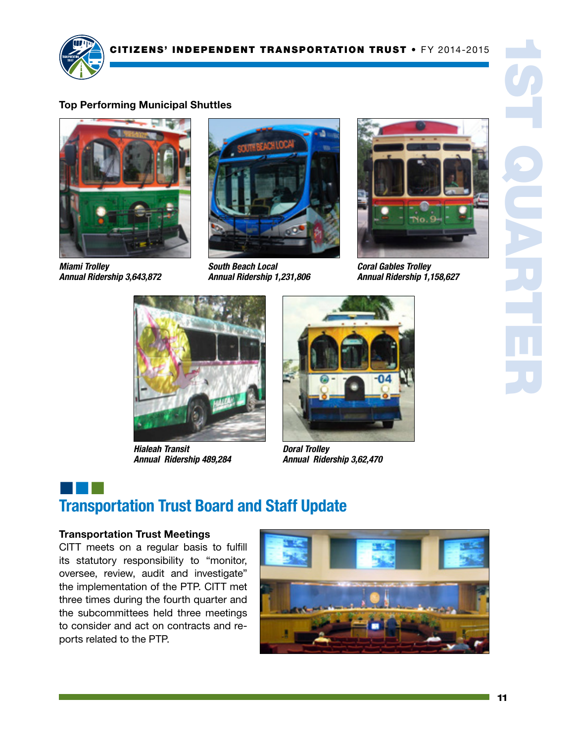

### Top Performing Municipal Shuttles



*Miami Trolley Annual Ridership 3,643,872*



*South Beach Local Annual Ridership 1,231,806*



*Coral Gables Trolley Annual Ridership 1,158,627*



*Hialeah Transit Annual Ridership 489,284*



*Doral Trolley Annual Ridership 3,62,470*

# Transportation Trust Board and Staff Update

#### Transportation Trust Meetings

¢¢¢

CITT meets on a regular basis to fulfill its statutory responsibility to "monitor, oversee, review, audit and investigate" the implementation of the PTP. CITT met three times during the fourth quarter and the subcommittees held three meetings to consider and act on contracts and reports related to the PTP.

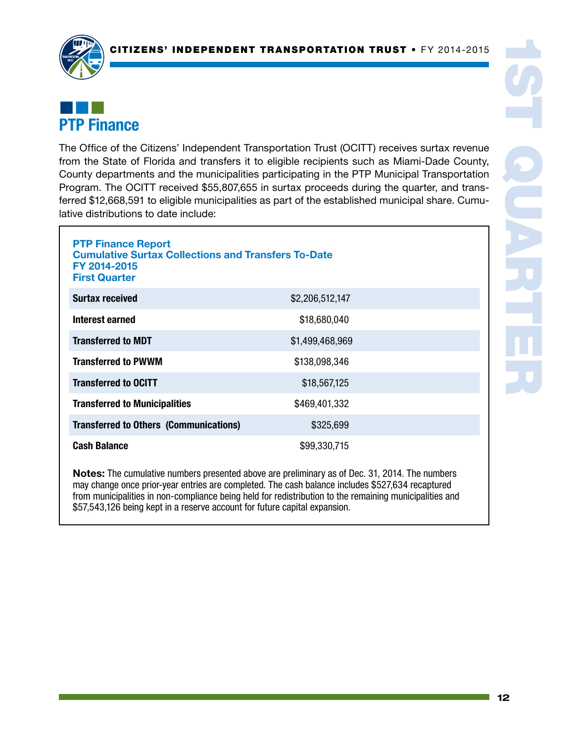

### ¢¢¢ PTP Finance

The Office of the Citizens' Independent Transportation Trust (OCITT) receives surtax revenue from the State of Florida and transfers it to eligible recipients such as Miami-Dade County, County departments and the municipalities participating in the PTP Municipal Transportation Program. The OCITT received \$55,807,655 in surtax proceeds during the quarter, and transferred \$12,668,591 to eligible municipalities as part of the established municipal share. Cumulative distributions to date include:

| <b>PTP Finance Report</b><br><b>Cumulative Surtax Collections and Transfers To-Date</b><br>FY 2014-2015<br><b>First Quarter</b> |                 |  |  |
|---------------------------------------------------------------------------------------------------------------------------------|-----------------|--|--|
| <b>Surtax received</b>                                                                                                          | \$2,206,512,147 |  |  |
| Interest earned                                                                                                                 | \$18,680,040    |  |  |
| <b>Transferred to MDT</b>                                                                                                       | \$1,499,468,969 |  |  |
| <b>Transferred to PWWM</b>                                                                                                      | \$138,098,346   |  |  |
| <b>Transferred to OCITT</b>                                                                                                     | \$18,567,125    |  |  |
| <b>Transferred to Municipalities</b>                                                                                            | \$469,401,332   |  |  |
| <b>Transferred to Others (Communications)</b>                                                                                   | \$325,699       |  |  |
| <b>Cash Balance</b>                                                                                                             | \$99,330,715    |  |  |

Notes: The cumulative numbers presented above are preliminary as of Dec. 31, 2014. The numbers may change once prior-year entries are completed. The cash balance includes \$527,634 recaptured from municipalities in non-compliance being held for redistribution to the remaining municipalities and \$57,543,126 being kept in a reserve account for future capital expansion.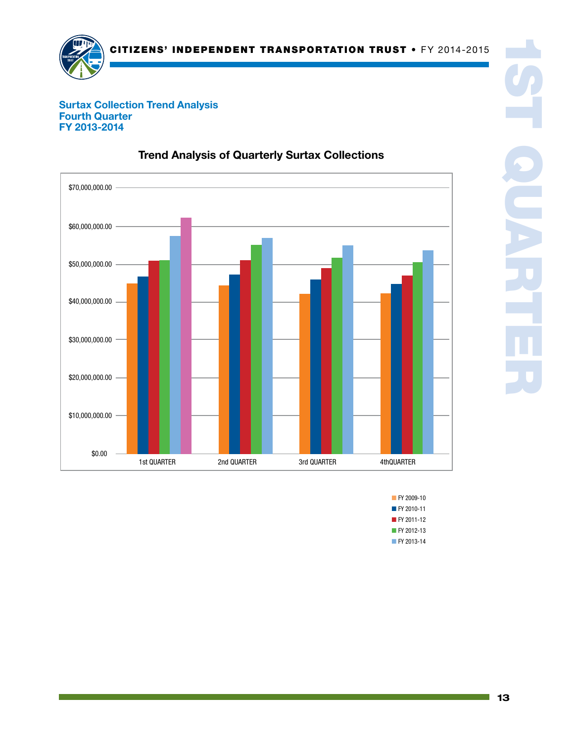

#### Surtax Collection Trend Analysis Surtax Collection **Fourth Quarter** FY 2013-2014



### Trend Analysis of Quarterly Surtax Collections

**FY 2009-10** ■ FY 2010-11 ■ FY 2011-12 ■ FY 2012-13 ■ FY 2013-14